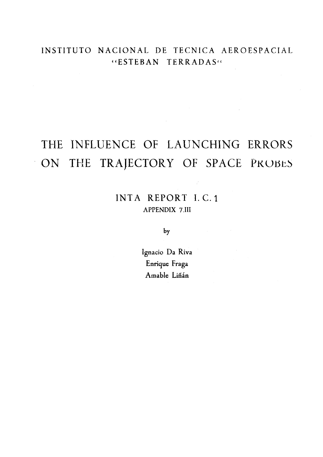### INSTITUTO NACIONAL DE TECNICA AEROESPACIAL "ESTEBAN TERRADAS"

## THE INFLUENCE OF LAUNCHING ERRORS THE TRAJECTORY OF SPACE PROBES ON

INTA REPORT I.C.1 APPENDIX 7.III

by

Ignacio Da Riva Enrique Fraga Amable Liñán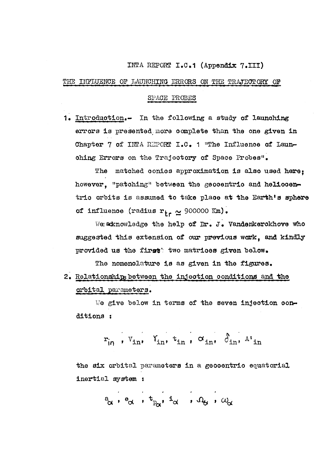### INTA REPORT I.C.1 (Appendix 7.III)

#### THE INFLUENCE OP LAUNCHING ERRORS ON THE TRAJECTORY OP

### SPAQE PROBES

1. Introduotion.- In the following a study of launching errors is presented more complete than the one given in Chapter 7 of INTA REPORT I.C. 1 "The Influence of Launohing Errors on the Trajootory of Spaoe Probes".

The matched conios approximation is also used here: however, "patching" between the geocentric and heliocentrio orbits is assumed to take plaoe at the Earth's sphere of influence (radius  $r_{+} \sim$  900000 Km).

We acknowledge the help of Dr. J. Vandenkerokhove who suggested this extension of our previous work, and kindly provided us the first two matrices given below.

The nomenclature is as given in the figures. 2. Relationships between the injection conditions and the orbital parameters.

We give below in terms of the seven injection conditions :

$$
r_{in}, \quad v_{in}, \quad v_{in}, \quad v_{in}, \quad \alpha_{in}, \quad \beta_{in}, \quad A^{\prime}{}_{in}
$$

the six orbital parameters in a geooentrio equatorial inertial system s

$$
^a_{\alpha} \; , \; ^b_{\alpha} \; , \; ^t_{P_{\alpha}} , \; ^t_{\alpha} \; , \; ^t_{\alpha} \; , \; ^t_{\alpha} \; , \; ^t_{\alpha}
$$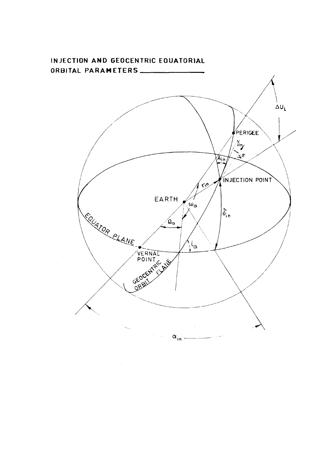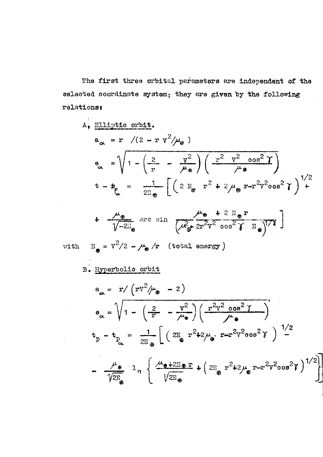The first three orbital parameters are independent of the selected coordinate system; they are given by the following relations:

A, Elliptic orbit.  
\n
$$
a_{\alpha} = r \quad / (2 - r \, v^2 / \mu_{\theta})
$$
\n
$$
e_{\alpha} = \sqrt{1 - \left(\frac{2}{r} - \frac{v^2}{\mu_{\theta}}\right) \left(\frac{r^2}{\mu_{\theta}}\right)^2}
$$
\n
$$
t - b_{\alpha} = \frac{1}{2E_{\phi}} \left[ \left(2 E_{\theta} r^2 + 2 \mu_{\theta} r - r^2 v^2 \cos^2 \theta\right)^1 \right]^{1/2}
$$

$$
+ \frac{\mu_{\mathbf{e}}}{\sqrt{-2E_{\mathbf{e}}}} \operatorname{arc~sin~} \frac{\mu_{\mathbf{e}} + 2 E_{\mathbf{e}} r}{\left(\mu_{\mathbf{e}}^2 + 2r^2 \sqrt{2} \cos^2 \gamma E_{\mathbf{e}}\right)^{1/2}}
$$

i.

with  $E_{\bullet} = V^2/2 - \mu_{\bullet}/r$  (total energy)

B. Hyperbolic orbit

$$
a_{\alpha} = r / (r v^2 / \mu_{\theta} - 2)
$$
  
\n
$$
a_{\alpha} = \sqrt{1 - \left(\frac{2}{r} - \frac{v^2}{\mu_{\theta}}\right) \left(\frac{r^2 v^2 \cos^2 \gamma}{\mu_{\theta}}\right)}
$$
  
\n
$$
t_p - t_{p_{\alpha}} = \frac{1}{2E_{\theta}} \left[ \left(2E_{\theta} r^2 + 2\mu_{\theta} r - r^2 v^2 \cos^2 \gamma \right) \right]^{1/2}
$$
  
\n
$$
- \frac{\mu_{\theta}}{\sqrt{2E_{\theta}}} 1_n \left\{ \frac{\mu_{\theta} + 2E_{\theta} r}{\sqrt{2E_{\theta}}} + \left(2E_{\theta} r^2 + 2\mu_{\theta} r - r^2 v^2 \cos^2 \gamma \right)^{1/2} \right\}
$$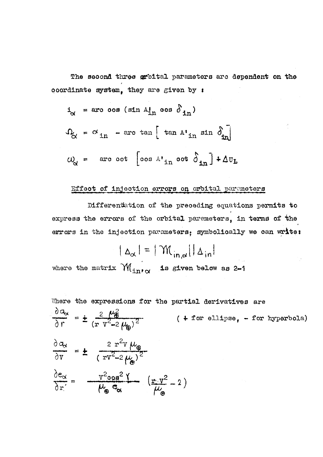The second three grbital parameters are dependent on the ooordinate system, they are given by :

$$
i_{\alpha} = \text{aro oos (sin A}1n \text{ oos } \delta_{in})
$$
  

$$
\Omega_{\alpha} = \alpha_{in} - \text{arc tan} \left[ \tan A \cdot_{in} \sin \delta_{in} \right]
$$
  

$$
\omega_{\alpha} = \text{arc oot} \left[ \cos A \cdot_{in} \text{oot } \delta_{in} \right] + \Delta v_{L}
$$

### Effect of injection errors on orbital parameters

Differentation of the preceding equations permits to express the errors of the orbital paremeters, in terms of the errors in the injection parameters; symbolically we can write:

$$
|\Delta_{\alpha}| = |\mathcal{M}_{in,\alpha}||\Delta_{in}|
$$
  
where the matrix  $\mathcal{M}_{in,\alpha}$  is given below as 2-1

Where the expressions for the partial derivatives are

$$
\frac{\partial a_{\alpha}}{\partial r} = \pm \frac{2 \mu_{\theta}^2}{(r v^2 - 2 \mu_{\theta})^2} \qquad (+ \text{ for ellipse, - for hyperbola})
$$
  

$$
\frac{\partial a_{\alpha}}{\partial v} = \pm \frac{2 r^2 v \mu_{\theta}}{(r v^2 - 2 \mu_{\theta})^2}
$$
  

$$
\frac{\partial e_{\alpha}}{\partial r} = \frac{v^2 \cos^2 Y}{\mu_{\theta}^2 \sigma_{\alpha}} \frac{(\frac{r}{\theta})^2}{\mu_{\theta}^2} - 2
$$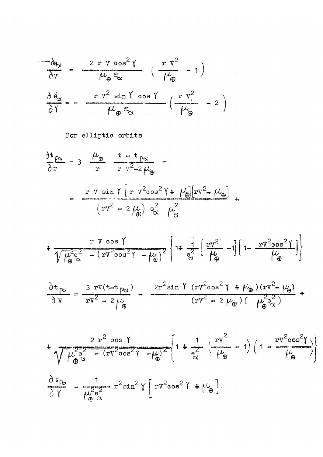$$
\frac{\partial \phi_{\alpha}}{\partial v} = \frac{2 r v \cos^{2} \gamma}{\mu_{\theta} e_{\alpha}} \left( \frac{r v^{2}}{\mu_{\theta}} - 1 \right)
$$

$$
\frac{\partial \phi_{\alpha}}{\partial \gamma} = - \frac{r v^{2} \sin \gamma \cos \gamma}{\mu_{\theta} e_{\alpha}} \left( \frac{r v^{2}}{\mu_{\theta}} - 2 \right)
$$

For elliptic orbits

 $\frac{\partial t_{\rho\alpha}}{\partial r}$  = 3  $\frac{\mu_{\varphi}}{r}$   $\frac{t-t_{\rho\alpha}}{r v^2-2\mu_{\varphi}}$  - $=$   $\frac{r \text{ v } \sin \gamma [r \text{ v}^2 \cos^2 \gamma + \mu_{\theta}][r \text{ v}^2 - \mu_{\theta}]}{(r \text{ v}^2 - 2 \mu_{\theta}) \text{ e}^2_{\alpha} \mu_{\theta}^2}$ 

$$
+\frac{r \text{ V oos } \gamma}{\sqrt{\mu_{\oplus}^{2} \alpha} - (r \text{ V}^{2} \text{ oos}^{2} \gamma - \mu_{\oplus})^{2}} \left[1 + \frac{1}{\theta_{\alpha}^{2}} \left[\frac{r \text{ V}^{2}}{\mu_{\oplus}} - 1\right] \left[1 - \frac{r \text{ V}^{2} \text{ oos}^{2} \gamma}{\mu_{\oplus}}\right]\right]
$$

$$
\frac{\partial t_{\beta\alpha}}{\partial v} = \frac{3 \text{rv}(t - t_{\beta\alpha})}{\text{rv}^2 - 2\mu_{\theta}} - \frac{2r^2 \sin \gamma (r v^2 \cos^2 \gamma + \mu_{\theta})(r v^2 - \mu_{\theta})}{(r v^2 - 2\mu_{\theta})(\mu_{\theta\alpha}^2 + \mu_{\theta\alpha}^2)}
$$

$$
\frac{2 r^2 \cos \gamma}{\sqrt{\mu_{\oplus}^2 \alpha^2 - (rV^2 \cos^2 \gamma - \mu)}} \left\{ 1 + \frac{1}{e^2} \left( \frac{rV^2}{\mu_{\oplus}} - 1 \right) \left( 1 - \frac{rV^2 \cos^2 \gamma}{\mu_{\oplus}} \right) \right\}
$$
  

$$
\frac{\partial t_{\oplus}}{\partial \gamma} = \frac{1}{\mu_{\oplus}^2 \alpha^2} r^2 \sin^2 \gamma \left[ rV^2 \cos^2 \gamma + \mu_{\oplus} \right] -
$$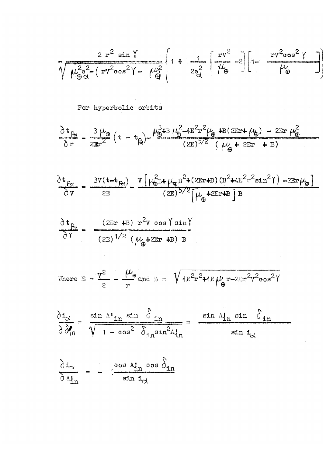$$
\sqrt{\mu_{\theta\alpha}^{2}e^{2}-(rv^{2}cos^{2}\gamma-\mu_{\theta}^{2}}\left[1+\frac{1}{2e_{\alpha}^{2}}\left[\frac{rv^{2}}{\mu_{\theta}}-2\right]\left[1-\frac{rv^{2}cos^{2}\gamma}{\mu_{\theta}}\right]\right]
$$

For hyperbolic orbits

$$
\frac{\partial t_{\beta}}{\partial r} = \frac{3 \mu_{\phi}}{2 \pi r^2} (t - t_{\beta}) - \frac{\mu_{\phi}^3 \mu_B \mu_{\phi}^2 - 4E^2 r^2 \mu_{\phi} \mu_B (2Ert \mu_{\phi}) - 2Ert \mu_{\phi}^2}{(2E)^{5/2} ( \mu_{\phi} + 2Ert + B)}
$$

 $\frac{1}{2}$ 

$$
\frac{\partial t_{P_{\alpha}}}{\partial v} = \frac{3V(t - t_{R})}{2E} - \frac{V\left(\mu_{\theta}^{2}B + \mu_{\theta}B^{2} + (2ErtB)(B^{2} + 4E^{2}r^{2}sin^{2}\theta) - 2Ert\mu_{\theta}\right)}{(2E)^{5/2}\left[\mu_{\theta} + 2ErtB\right]B}
$$

$$
\frac{\partial \mathbf{t}_{\text{B}}}{\partial \Upsilon} = \frac{(2 \text{Er} + \text{B}) \cdot \mathbf{r}^2 \text{v} \cos \Upsilon \sin \Upsilon}{(2 \text{E})^{1/2} \left(\mu_{\oplus} + 2 \text{Er} + \text{B}\right) \text{B}}
$$

$$
\text{where } E = \frac{v^2}{2} - \frac{\mu_{\oplus}}{r} \text{ and } B = \sqrt{4E^2r^2+4E\mu_{\oplus}r-2Er^2v^2\cos^2\gamma}
$$

$$
\frac{\partial i_{\alpha}}{\partial \theta_{\text{in}}} = \frac{\sin \Lambda \cdot \ln \sin \delta_{\text{in}}}{\sqrt{1 - \cos^2 \delta_{\text{in}}^2 \sin^2 \Lambda_{\text{in}}^1}} = \frac{\sin \Lambda_{\text{in}}^1 \sin \delta_{\text{in}}}{\sin i_{\alpha}}
$$

$$
\frac{\partial i_{\infty}}{\partial A_{in}^{i}} = - \frac{\cos A_{in} \cos \delta_{in}}{\sin i_{\infty}}
$$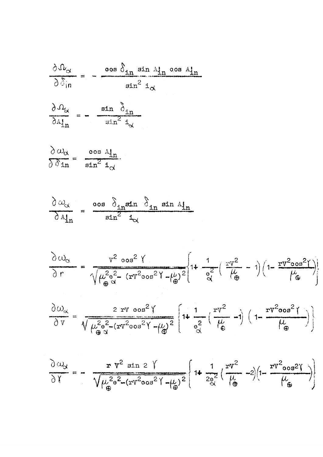$$
\frac{\partial \Omega_{\alpha}}{\partial \delta_{\text{in}}} = -\frac{\cos \delta_{\text{in}} \sin A_{\text{in}} \cos A_{\text{in}}}{\sin^2 i_{\alpha}}
$$

$$
\frac{\partial \Omega_{\alpha}}{\partial A_{in}^{i}} = - \frac{\sin \delta_{in}}{\sin^{2} i_{\alpha}}
$$

$$
\frac{\partial \omega_{\alpha}}{\partial \delta \text{ in}} = \frac{\cos A_{\text{in}}}{\sin^2 A_{\text{in}}}
$$

$$
\frac{\partial \omega_{\alpha}}{\partial A_{\text{in}}^{\text{I}}} = \frac{\cos \delta_{\text{in}} \sin \delta_{\text{in}} \sin A_{\text{in}}}{\sin^2 \delta_{\text{in}}}
$$

$$
\frac{\partial \omega_{\alpha}}{\partial r} = \frac{v^2 \cos^2 Y}{\sqrt{\mu_{\oplus}^2 \alpha^2 - (rv^2 \cos^2 Y - \mu_{\oplus})^2}} \left\{ 1 + \frac{1}{e^2} \left( \frac{rv^2}{\mu_{\oplus}} - 1 \right) \left( 1 - \frac{rv^2 \cos^2 Y}{\mu_{\oplus}} \right) \right\}
$$

$$
\frac{\partial \omega_{\alpha}}{\partial v} = \frac{2 \text{ rv } \cos^{2} \gamma}{\sqrt{\mu_{\oplus}^{2} \alpha^{2} - (\text{rv}^{2} \cos^{2} \gamma - \mu_{\oplus})^{2}}} \left[ 1 + \frac{1}{\alpha^{2}} \left( \frac{\text{rv}^{2}}{\mu_{\oplus}^{2}} - 1 \right) \left( 1 - \frac{\text{rv}^{2} \cos^{2} \gamma}{\mu_{\oplus}^{2}} \right) \right]
$$

$$
\frac{\partial \omega_{\alpha}}{\partial \gamma} = -\frac{\mathbf{r} \, v^2 \, \sin 2 \, \gamma}{\sqrt{\mu_{\oplus}^2 e^2 - (\mathbf{r} v^2 \cos^2 \gamma - \mu_{\oplus})^2}} \left\{ 1 + \frac{1}{2 \cdot e^2} \left( \frac{\mathbf{r} v^2}{\mu_{\oplus}} - 2 \right) \left( 1 - \frac{\mathbf{r} v^2 \cos^2 \gamma}{\mu_{\oplus}} \right) \right\}
$$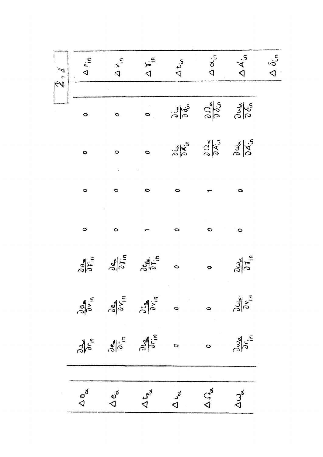| $\overline{2}, \overline{1}$ | $\begin{array}{ c c }\n\hline\n\text{A} & \text{A} & \text{A} \\ \hline\n\text{A} & \text{A} & \text{B} \\ \hline\n\end{array}$ |                                                                                                                           | $\frac{1}{4}$                                                                                                                                                                  | $\Delta t_{in}$ | $\frac{1}{\alpha}$ $\frac{1}{\alpha}$ $\frac{1}{\alpha}$                                                                      |                                                                     | $\Delta \delta_{\rm in}$ |
|------------------------------|---------------------------------------------------------------------------------------------------------------------------------|---------------------------------------------------------------------------------------------------------------------------|--------------------------------------------------------------------------------------------------------------------------------------------------------------------------------|-----------------|-------------------------------------------------------------------------------------------------------------------------------|---------------------------------------------------------------------|--------------------------|
|                              |                                                                                                                                 |                                                                                                                           |                                                                                                                                                                                |                 |                                                                                                                               |                                                                     |                          |
|                              | $\bullet$                                                                                                                       | $\ddot{\circ}$                                                                                                            | $\bullet$                                                                                                                                                                      |                 | $313$ $313$ $313$                                                                                                             |                                                                     |                          |
|                              | $\bullet$                                                                                                                       | $\circ$                                                                                                                   | $\ddot{\circ}$                                                                                                                                                                 |                 | $\frac{3}{8}$ $\frac{4}{8}$ $\frac{5}{8}$ $\frac{8}{8}$ $\frac{1}{8}$ $\frac{3}{8}$ $\frac{3}{8}$ $\frac{3}{8}$ $\frac{5}{8}$ |                                                                     |                          |
|                              | $\circ$                                                                                                                         | $\bullet$                                                                                                                 | $\bullet$                                                                                                                                                                      | $\bullet$       |                                                                                                                               | $\bullet$                                                           |                          |
|                              | $\circ$                                                                                                                         | $\circ$                                                                                                                   |                                                                                                                                                                                | 0               | $\ddot{\circ}$                                                                                                                | $\circ$                                                             |                          |
|                              |                                                                                                                                 |                                                                                                                           | $\frac{\partial}{\partial r_{in}}$ $\frac{\partial}{\partial r_{in}}$ $\frac{\partial}{\partial r_{in}}$ $\frac{\partial}{\partial r_{in}}$ $\frac{\partial}{\partial r_{in}}$ |                 | $\bullet$                                                                                                                     | $\frac{\partial \omega_{\text{st}}}{\partial Y_{\text{in}}}$        |                          |
|                              | $\frac{\partial a}{\partial v_{in}}$                                                                                            | $\frac{\partial e_{\alpha}}{\partial x_{in}}$                                                                             |                                                                                                                                                                                | $\circ$         | $\circ$                                                                                                                       | $\frac{\partial \omega_{\infty}}{\partial \mathbf{v}_{\mathbf{n}}}$ |                          |
|                              | $\frac{\partial a}{\partial \tau_{in}}$                                                                                         | $\frac{\partial e_{\infty}}{\partial \overrightarrow{\rho}}$ $\frac{\partial e_{\infty}}{\partial \overrightarrow{\rho}}$ |                                                                                                                                                                                | Ò               | $\circ$                                                                                                                       | $\frac{\partial \omega_{\alpha}}{\partial r_{i}}$                   |                          |
|                              |                                                                                                                                 |                                                                                                                           |                                                                                                                                                                                |                 |                                                                                                                               |                                                                     |                          |
|                              | $\triangleleft^{\delta}$                                                                                                        | $\sigma^{\rm d}$                                                                                                          | $\Delta t_{\rm p}^{\rm u}$                                                                                                                                                     | $\Delta$ id     | $\Omega_{\rm g}$                                                                                                              | $\Delta\omega$                                                      |                          |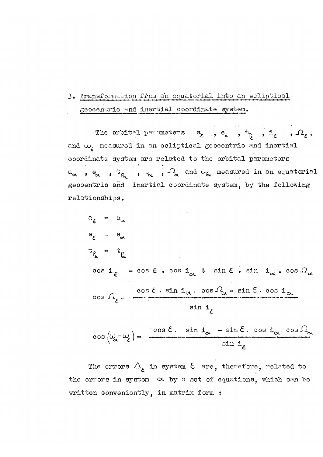## 3. Transformation from an equatorial into an eoliptioal geocentric and inertial coordinate system.

The orbital parameters  $a_{\varepsilon}$ ,  $e_{\varepsilon}$ ,  $t_{\rho}$ ,  $t_{\rho}$ ,  $i_{\varepsilon}$ ,  $\Lambda_{\varepsilon}$ , and  $\omega_{\epsilon}$  measured in an ecliptical geocentrio and inertial coordinate system are related to the orbital parameters  $a_{\alpha}$ ,  $e_{\alpha}$ ,  $t_{\beta}$ ,  $i_{\alpha}$ ,  $\Omega_{\alpha}$  and  $\omega_{\alpha}$  measured in an equatorial geooentrio and inertial coordinate system, by the following relati onships.

$$
a_{\xi} = a_{\alpha}
$$
\n
$$
e_{\xi} = e_{\alpha}
$$
\n
$$
t_{\beta_{\xi}} = t_{\beta}
$$
\n
$$
cos i_{\xi} = cos \xi \cdot cos i_{\alpha} + sin \xi \cdot sin i_{\alpha} \cdot cos \Omega_{\alpha}
$$
\n
$$
cos \Omega_{\xi} = \frac{cos \xi \cdot sin i_{\alpha} \cdot cos \Omega_{\alpha} - sin \xi \cdot cos i_{\alpha}}{sin i_{\xi}}
$$

$$
\cos\left(\omega_{\alpha} - \omega_{\xi}\right) = \frac{\cos \xi \cdot \sin i_{\alpha} - \sin \xi \cdot \cos i_{\alpha} \cdot \cos \Omega_{\xi}}{\sin i_{\xi}}
$$

The errors  $\Delta_{\varepsilon}$  in system  $\varepsilon$  are, therefore, related to the errors in system  $\alpha$  by a set of equations, which can be written conveniently, in matrix form :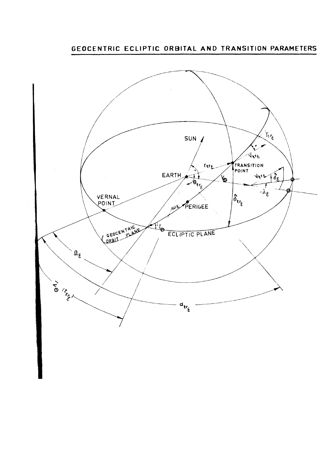**GEOCENTRIC ECLIPTIC ORBITAL AND TRANSITION PARAMETERS** 

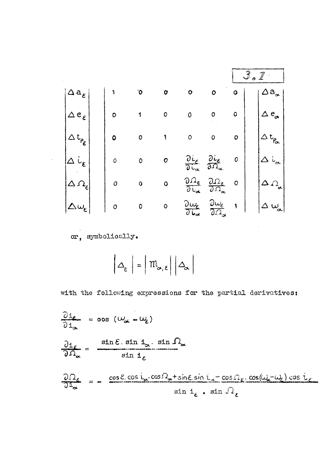|                          |              |   |           |                                                                        |                                                                             |             | Ó                              |
|--------------------------|--------------|---|-----------|------------------------------------------------------------------------|-----------------------------------------------------------------------------|-------------|--------------------------------|
| $\Delta\,a_\varepsilon$  |              | 0 | Ω         |                                                                        | ٥                                                                           | ٥           | $a_{\alpha}$                   |
| $e_{\varepsilon}$ ,<br>△ | O            |   |           | 0                                                                      | Ω                                                                           | 0           | $e_{\alpha}$<br>Δ              |
| $t_{\rho_{\pmb{\xi}}}$   | O            | ٥ | Ï         | 0                                                                      | O                                                                           | $\mathbf 0$ | Pa                             |
| $\mathfrak{c}$           | 0            | 0 | 0         | $\frac{\partial i_{\varepsilon}}{\partial t_{\alpha}}$                 | żε<br>$\partial \Omega_{\alpha}$                                            | 0           | $\sim$                         |
| $\Omega_{\epsilon}$      | 0            | Ο | ٥         | $\frac{1}{\epsilon}$<br>$\overline{\partial}\overline{\iota}_{\alpha}$ | $\frac{2}{5}$<br>$\mathfrak{D}\Omega_{\alpha}$                              | $\circ$     | 4<br>$\varOmega_{\mathrm{at}}$ |
| $\omega_{\varepsilon}$ : | $\mathbf{o}$ | 0 | $\bullet$ | $2\omega_{\varepsilon}$<br>$\overline{\partial\mathbf{u}_{\alpha}}$    | ي ساني $\omega_\varepsilon$<br>$\overline{\partial\varOmega_{\bm{\alpha}}}$ |             | $\omega$                       |
|                          |              |   |           |                                                                        |                                                                             |             |                                |

or, symbolically.

 $\sim$   $_{\star}$ 

 $\left|\Delta_{\varepsilon}\right|=\left|\left.\mathfrak{m}_{\alpha,\varepsilon}\right|\right|\Delta_{\alpha}\right|$ 

with the following expressions for the partial derivatives:

 $\sim 10^6$ 

$$
\frac{\partial i_{\epsilon}}{\partial i_{\alpha}} = \cos (\omega_{\alpha} - \omega_{\epsilon})
$$
\n
$$
\frac{\partial i_{\epsilon}}{\partial \Omega_{\alpha}} = \frac{\sin \epsilon \cdot \sin i_{\alpha} \cdot \sin \Omega_{\alpha}}{\sin i_{\epsilon}}
$$
\n
$$
\frac{\partial \Omega_{\epsilon}}{\partial i_{\alpha}} = -\frac{\cos \epsilon \cdot \cos i_{\alpha} \cdot \cos \Omega_{\alpha} + \sin \epsilon \cdot \sin i_{\alpha} - \cos \Omega_{\epsilon} \cdot \cos(\omega_{\epsilon} - \omega_{\epsilon}) \cos i_{\epsilon}}{\sin i_{\epsilon} \cdot \sin \Omega_{\epsilon}}
$$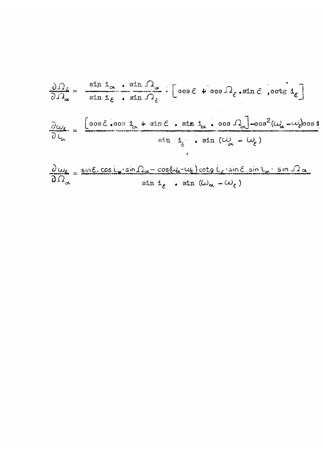$$
\frac{\partial \Omega_{\varepsilon}}{\partial \Omega_{\alpha}} = \frac{\sin i_{\alpha} \cdot \sin \Omega_{\alpha}}{\sin i_{\varepsilon} \cdot \sin \Omega_{\varepsilon}} \cdot \left[ \cos \varepsilon + \cos \Omega_{\varepsilon} \cdot \sin \varepsilon \cdot \cot \varepsilon \cdot \mathbf{1}_{\varepsilon} \right]
$$
  

$$
\frac{\partial \omega_{\varepsilon}}{\partial \zeta_{\alpha}} = \frac{\left[ \cos \varepsilon \cdot \cos i_{\alpha} + \sin \varepsilon \cdot \sin i_{\alpha} \cdot \cos \Omega_{\alpha} \right] - \cos^2(\omega_{\alpha} - \omega_{\varepsilon}) \cos i_{\alpha} \cdot \sin i_{\varepsilon} \cdot \sin (\omega_{\alpha} - \omega_{\varepsilon})}{\sin i_{\varepsilon} \cdot \sin (\omega_{\alpha} - \omega_{\varepsilon})}
$$

$$
\frac{\partial \omega_{\epsilon}}{\partial \Omega_{\alpha}} = \frac{\sin \epsilon \cdot \cos i_{\alpha} \cdot \sin \Omega_{\alpha} - \cos(\omega_{\epsilon} - \omega_{\epsilon}) \cot \theta i_{\epsilon} \cdot \sin \epsilon_{\alpha} \cdot \sin \Omega_{\alpha}}{\sin i_{\epsilon} \cdot \sin (\omega_{\alpha} - \omega_{\epsilon})}
$$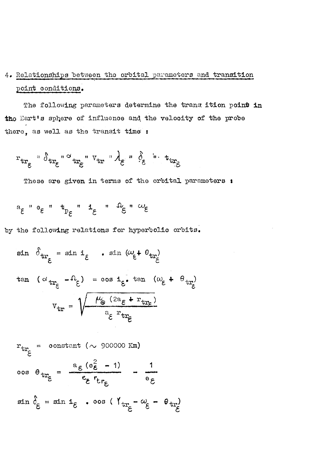## 4. Relationships between the orbital parameters and transition point conditions.

The following parameters determine the trans ition point in the Eart's sphere of influence and the velocity of the probe there, as well as the transit time :

$$
r_{tr_{\varepsilon}} \circ \delta_{tr_{\varepsilon}} \circ \iota_{tr_{\varepsilon}} \circ \iota_{tr} \circ \iota_{tr} \circ \iota_{\varepsilon} \circ \iota_{tr_{\varepsilon}} \circ \iota_{tr_{\varepsilon}}
$$

These are given in terms of the orbital parameters :

$$
e^{\alpha} = e^{\alpha} \quad \text{and} \quad e^{\alpha} = e^{\alpha} \quad \text{and} \quad e^{\alpha} = e^{\alpha} \quad \text{and} \quad e^{\alpha} = e^{\alpha} \quad \text{and} \quad e^{\alpha} = e^{\alpha} \quad \text{and} \quad e^{\alpha} = e^{\alpha} \quad \text{and} \quad e^{\alpha} = e^{\alpha} \quad \text{and} \quad e^{\alpha} = e^{\alpha} \quad \text{and} \quad e^{\alpha} = e^{\alpha} \quad \text{and} \quad e^{\alpha} = e^{\alpha} \quad \text{and} \quad e^{\alpha} = e^{\alpha} \quad \text{and} \quad e^{\alpha} = e^{\alpha} \quad \text{and} \quad e^{\alpha} = e^{\alpha} \quad \text{and} \quad e^{\alpha} = e^{\alpha} \quad \text{and} \quad e^{\alpha} = e^{\alpha} \quad \text{and} \quad e^{\alpha} = e^{\alpha} \quad \text{and} \quad e^{\alpha} = e^{\alpha} \quad \text{and} \quad e^{\alpha} = e^{\alpha} \quad \text{and} \quad e^{\alpha} = e^{\alpha} \quad \text{and} \quad e^{\alpha} = e^{\alpha} \quad \text{and} \quad e^{\alpha} = e^{\alpha} \quad \text{and} \quad e^{\alpha} = e^{\alpha} \quad \text{and} \quad e^{\alpha} = e^{\alpha} \quad \text{and} \quad e^{\alpha} = e^{\alpha} \quad \text{and} \quad e^{\alpha} = e^{\alpha} \quad \text{and} \quad e^{\alpha} = e^{\alpha} \quad \text{and} \quad e^{\alpha} = e^{\alpha} \quad \text{and} \quad e^{\alpha} = e^{\alpha} \quad \text{and} \quad e^{\alpha} = e^{\alpha} \quad \text{and} \quad e^{\alpha} = e^{\alpha} \quad \text{and} \quad e^{\alpha} = e^{\alpha} \quad \text{and} \quad e^{\alpha} = e^{\alpha} \quad \text{and} \quad e^{\alpha} = e^{\alpha} \quad \text{and} \quad e^{\alpha} = e^{\alpha} \quad \text{and} \quad e^{\alpha} = e^{\alpha} \quad \text{and} \quad e^{\alpha} = e^{\alpha} \quad \text{and} \quad e^{\alpha} = e^{\alpha} \quad \text{and} \quad e^{\alpha} = e^{\alpha} \quad \text{and} \
$$

by the following relations for hyperbolic orbits.

$$
\sin \theta_{tr_{\xi}} = \sin i_{\xi} \quad \sin (\omega_{\xi} + \theta_{tr_{\xi}})
$$
  

$$
\tan (\omega_{tr_{\xi}} - \theta_{\xi}) = \cos i_{\xi} \quad \tan (\omega_{\xi} + \theta_{tr_{\xi}})
$$
  

$$
v_{tr} = \sqrt{\frac{\mu_{\theta} (2a_{\xi} + r_{tr_{\xi}})}{a_{\xi} r_{tr_{\xi}}}}
$$

$$
r_{tr_{\xi}} = \text{constant } (\sim 900000 \text{ km})
$$
  
 
$$
\cos \theta_{tr_{\xi}} = \frac{a_{\xi} (e_{\xi}^2 - 1)}{e_{\xi} r_{tr_{\xi}}} - \frac{1}{e_{\xi}}
$$
  
 
$$
\sin \delta_{\xi} = \sin 1_{\xi} \cdot \cos (\gamma_{tr_{\xi}} - \omega_{\xi} - \theta_{tr_{\xi}})
$$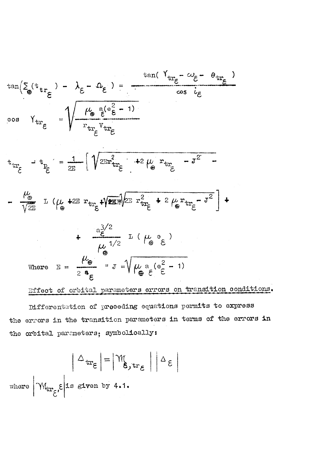$$
\tan(\sum_{\theta} (t_{tr_{\xi}}) - \lambda_{\xi} - \Omega_{\xi}) = \frac{\tan(\Upsilon_{tr_{\xi}} - \omega_{\xi} - \theta_{tr_{\xi}})}{\cos i_{\xi}}
$$
\n
$$
\cos \Upsilon_{tr_{\xi}} = \sqrt{\frac{\mu_{\theta} \epsilon e^{2} - 1}{r_{tr_{\xi}} v_{tr_{\xi}}}}
$$
\n
$$
t_{tr_{\xi}} - t_{\frac{\omega}{2}} = \frac{1}{2E} \left[ \sqrt{2E r_{tr_{\xi}}^{2}} + 2 \mu_{\theta} r_{tr_{\xi}} - J^{2} - \frac{\mu_{\theta}}{\sqrt{2E}} \right] + \frac{1}{\sqrt{2E}} \left[ \sqrt{2E r_{tr_{\xi}}^{2}} + 2 \mu_{\theta} r_{tr_{\xi}} - J^{2} \right] + \frac{a_{\theta}^{3/2}}{\sqrt{2E}} \left[ \mu_{\theta} \left( \frac{1}{\theta} \right)^{2} \right] + \frac{a_{\theta}^{3/2}}{\sqrt{2E}} \left[ \mu_{\theta} \left( \frac{1}{\theta} \right)^{2} \right] + \frac{a_{\theta}^{3/2}}{\sqrt{2E}} \left[ \mu_{\theta} \left( \frac{1}{\theta} \right)^{2} \right]
$$
\nwhere

\n
$$
E = \frac{\mu_{\theta}}{2 \epsilon} - J = \sqrt{\mu_{\theta} \epsilon e^{2} - 1}
$$
\nTherefore of orbital parameters errors on transition conditions.

Differentation of preceding equations permits to express the errors in the transition parameters in terms of the errors in the orbital parameters; symbolically:

$$
\left|\Delta_{tr_{\xi}}\right| = \left|\mathcal{M}_{\xi, tr_{\xi}}\right| \left|\Delta_{\xi}\right|
$$
  
where  $\left|\mathcal{M}_{tr_{\xi}}, \xi\right|$  is given by 4.1.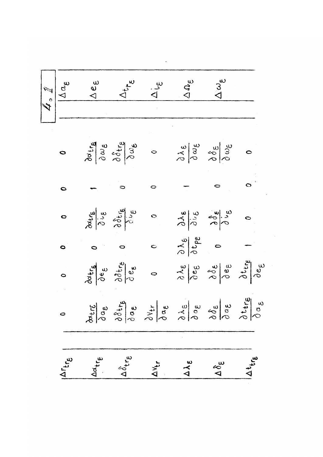|                                       | $\begin{picture}(180,10) \put(0,0){\line(1,0){155}} \put(15,0){\line(1,0){155}} \put(15,0){\line(1,0){155}} \put(15,0){\line(1,0){155}} \put(15,0){\line(1,0){155}} \put(15,0){\line(1,0){155}} \put(15,0){\line(1,0){155}} \put(15,0){\line(1,0){155}} \put(15,0){\line(1,0){155}} \put(15,0){\line(1,0){155}} \put(15,0){\line(1,0){155}}$ |                                             |                                                                                                                                                                                                                                                                                                                                                     | $\Delta \Omega_{\varepsilon}$ | $\Delta\omega_{\mathsf{e}}$   |                                                               |
|---------------------------------------|----------------------------------------------------------------------------------------------------------------------------------------------------------------------------------------------------------------------------------------------------------------------------------------------------------------------------------------------|---------------------------------------------|-----------------------------------------------------------------------------------------------------------------------------------------------------------------------------------------------------------------------------------------------------------------------------------------------------------------------------------------------------|-------------------------------|-------------------------------|---------------------------------------------------------------|
|                                       |                                                                                                                                                                                                                                                                                                                                              |                                             |                                                                                                                                                                                                                                                                                                                                                     |                               |                               |                                                               |
|                                       |                                                                                                                                                                                                                                                                                                                                              |                                             |                                                                                                                                                                                                                                                                                                                                                     |                               |                               |                                                               |
| $\bullet$                             |                                                                                                                                                                                                                                                                                                                                              |                                             | $\frac{\partial}{\partial \alpha} \begin{vmatrix} 1 & \alpha & \beta & \beta \\ \beta & \beta & \beta & \beta \\ \beta & \beta & \beta & \beta \end{vmatrix}$                                                                                                                                                                                       |                               |                               |                                                               |
| $\bullet$                             |                                                                                                                                                                                                                                                                                                                                              |                                             | 0                                                                                                                                                                                                                                                                                                                                                   |                               |                               | $\overline{a}$                                                |
| $\ddot{\circ}$                        |                                                                                                                                                                                                                                                                                                                                              |                                             | $\frac{\delta \theta_{\text{trig}}}{\delta \psi_{\text{g}}}}$<br>$\delta \frac{\delta \theta_{\text{trig}}}{\delta \psi_{\text{g}}}}$<br>$\delta \frac{\delta \theta_{\text{trig}}}{\delta \psi_{\text{g}}}}$<br>$\delta \frac{\delta \psi_{\text{g}}}{\delta \psi_{\text{g}}}}$<br>$\delta \frac{\delta \psi_{\text{g}}}{\delta \psi_{\text{g}}}}$ |                               |                               |                                                               |
| $\bullet$                             |                                                                                                                                                                                                                                                                                                                                              |                                             |                                                                                                                                                                                                                                                                                                                                                     |                               |                               |                                                               |
| $\circ$                               |                                                                                                                                                                                                                                                                                                                                              |                                             | $\frac{1}{\sqrt{2}}\begin{vmatrix} 1 & 0 & 0 \\ 0 & 0 & 0 \\ 0 & 0 & 0 \end{vmatrix}$                                                                                                                                                                                                                                                               |                               |                               |                                                               |
| $\bullet$                             | $\frac{\partial}{\partial \mu} \rho$                                                                                                                                                                                                                                                                                                         | $rac{\partial \delta t}{\partial \alpha}$ e | $\frac{\partial \psi}{\partial \alpha} \frac{\partial}{\partial \beta} \frac{\partial}{\partial \beta} \frac{\partial}{\partial \beta} \frac{\partial}{\partial \alpha} \frac{\partial}{\partial \beta} \frac{\partial}{\partial \alpha}$                                                                                                           |                               |                               | $\frac{\partial\,{\bf t}_{\rm tr\epsilon}}{\partial\,\sigma}$ |
|                                       |                                                                                                                                                                                                                                                                                                                                              |                                             |                                                                                                                                                                                                                                                                                                                                                     |                               |                               |                                                               |
| $ \Delta r_{\text{tr}}^{}_{\text{g}}$ | Ad <sub>tre</sub>                                                                                                                                                                                                                                                                                                                            | $\Delta \delta_{\mathsf{tr}_\mathsf{E}}$    | $\Delta v_{\mathbf{t}}$                                                                                                                                                                                                                                                                                                                             | $\Delta\lambda_{\varepsilon}$ | $\Delta \delta_{\varepsilon}$ | $44t_{tr}$                                                    |

 $\label{eq:2.1} \frac{1}{2} \sum_{i=1}^n \frac{1}{2} \sum_{j=1}^n \frac{1}{2} \sum_{j=1}^n \frac{1}{2} \sum_{j=1}^n \frac{1}{2} \sum_{j=1}^n \frac{1}{2} \sum_{j=1}^n \frac{1}{2} \sum_{j=1}^n \frac{1}{2} \sum_{j=1}^n \frac{1}{2} \sum_{j=1}^n \frac{1}{2} \sum_{j=1}^n \frac{1}{2} \sum_{j=1}^n \frac{1}{2} \sum_{j=1}^n \frac{1}{2} \sum_{j=1}^n \frac{$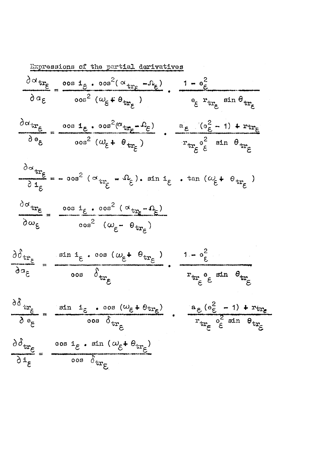Expressions of the partial derivatives  $\frac{\partial \alpha_{tr}}{\partial \xi} = \frac{\cos i_{\xi} \cdot \cos^2(\alpha_{tr}}{\cos \beta_{tr}} - \beta_{\xi})$ , 1 -  $\theta_{\xi}^2$  $\partial a_{\varepsilon}$   $\qquad \qquad \partial a_{\varepsilon}$   $\qquad \qquad \qquad \partial a_{\varepsilon}$   $\qquad \qquad \partial a_{\varepsilon}$   $\qquad \qquad \partial a_{\varepsilon}$   $\qquad \qquad \partial a_{\varepsilon}$   $\qquad \qquad \partial a_{\varepsilon}$  $\frac{\partial \alpha_{tr_{\varepsilon}}}{\partial \theta_{\varepsilon}} = \frac{\cos 1_{\varepsilon} \cdot \cos^2(\alpha_{tr_{\varepsilon}} - \Omega_{\varepsilon})}{\cos^2 (\omega_{\varepsilon} + \theta_{tr_{\varepsilon}})} \cdot \frac{\varepsilon_{\varepsilon} (\sigma_{\varepsilon}^2 - 1) + r_{tr_{\varepsilon}}}{r_{tr_{\varepsilon}} \varepsilon_{\varepsilon}}$  $\frac{\partial \alpha_{tr}}{\partial i_{\xi}}$  = -  $\cos^2 (\alpha_{tr_{\xi}} - \Omega_{\xi})$ .  $\sin i_{\xi}$ .  $\tan (\omega_{\xi} + \Theta_{tr_{\xi}})$  $\frac{\partial \alpha_{tr}}{\partial t} = \frac{\cos i_{\epsilon} \cdot \cos^2 (\alpha_{tr_{\epsilon}} - \Omega_{\epsilon})}{\Delta t}$  $\frac{3}{\omega_6}$  $\overline{\phantom{a}}$   $\cos^2$   $(\omega_{\varepsilon} - \theta_{tr_{\varepsilon}})$  $\frac{\partial \hat{\sigma}_{tr_{\varepsilon}}}{\partial \sigma_{\varepsilon}} = \frac{\sin i_{\varepsilon} \cdot \cos (\omega_{\varepsilon} + \theta_{tr_{\varepsilon}})}{\cos \delta_{tr_{\varepsilon}}} \cdot \frac{1 - \sigma_{\varepsilon}^2}{r_{tr_{\varepsilon}} \sigma_{\varepsilon} \sin \theta_{tr_{\varepsilon}}}$  $r_{\rm tr}$   $_{\rm e}$   $_{\rm g}$   $\sin$   $\theta_{\rm tr}$  $\frac{\partial \delta}{\partial e_{\xi}} = \frac{\sin i_{\xi} \cdot \cos (\omega_{\xi} + \theta_{tr_{\xi}})}{\cos \delta_{tr_{\xi}}}$ ,  $\frac{a_{\xi} (e_{\xi}^2 - 1) + r_{tr_{\xi}}}{r_{tr_{\xi}} e_{\xi}^2 \sin \theta_{tr_{\xi}}}$  $\frac{\partial \delta_{tr}}{\partial i_{\xi}} = \frac{\cos i_{\xi} \cdot \sin (\omega_{\xi} + \theta_{tr_{\xi}})}{\cos \delta_{tr_{\xi}}}$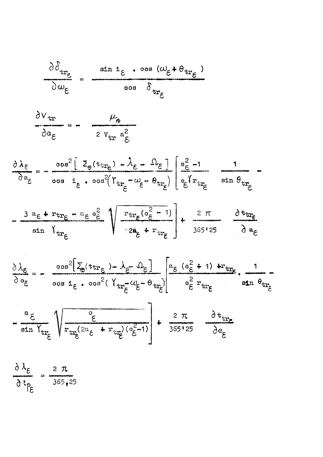

$$
\frac{\partial V_{tr}}{\partial a_{\varepsilon}} = - \frac{\mu_{\varepsilon}}{2 v_{tr} a_{\varepsilon}^2}
$$

$$
\frac{\partial \lambda_{\varepsilon}}{\partial a_{\varepsilon}} = -\frac{\cos^{2}[\Sigma_{\Theta}(\text{tr}_{\mathbf{r}_{\varepsilon}}) - \lambda_{\varepsilon} - \Omega_{\varepsilon}]}{\cos a_{\varepsilon} \cdot \cos^{2}(Y_{\text{tr}_{\varepsilon}} - \omega_{\varepsilon} - \theta_{\text{tr}_{\varepsilon}})} \begin{bmatrix} e_{\varepsilon}^{2} - 1 & 1 \\ e_{\varepsilon}^{Y_{\text{tr}_{\varepsilon}}} & \sin \theta_{\text{tr}_{\varepsilon}} \end{bmatrix} -
$$

$$
-\frac{3 a_{\varepsilon} + r_{tr_{\varepsilon}} - a_{\varepsilon} a_{\varepsilon}^2}{\sin Y_{tr_{\varepsilon}}} \sqrt{\frac{r_{tr_{\varepsilon}}(a_{\varepsilon}^2 - 1)}{2 a_{\varepsilon} + r_{tr_{\varepsilon}}}} + \frac{2 \pi}{365!25} \frac{\partial t_{tr_{\varepsilon}}}{\partial a_{\varepsilon}}
$$





 $rac{\partial \lambda_{\epsilon}}{\partial t_{\beta}} = \frac{2 \pi}{365,25}$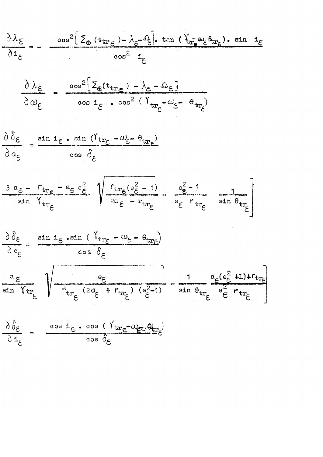$$
\frac{\partial \lambda_{\varepsilon}}{\partial \mathbf{i}_{\varepsilon}} = -\frac{\cos^2[\sum_{\Theta} (\mathbf{t}_{\text{tr}_{\varepsilon}}) - \lambda_{\varepsilon} - \hat{\mu}_{\varepsilon}]\cdot \tan (\hat{\lambda}_{\text{tr}_{\varepsilon}} \hat{\mu}_{\varepsilon} \hat{\theta}_{\text{tr}_{\varepsilon}}) \cdot \sin \hat{\mu}_{\varepsilon}}{\cos^2 \hat{\mu}_{\varepsilon}}
$$

$$
\frac{\partial \lambda_{\varepsilon}}{\partial \omega_{\varepsilon}} = \frac{\cos^2 \left[ \Sigma_{\varepsilon} (t_{tr_{\varepsilon}}) - \lambda_{\varepsilon} - \Omega_{\varepsilon} \right]}{\cos i_{\varepsilon} \cdot \cos^2 \left( Y_{tr_{\varepsilon}} - \omega_{\varepsilon} - \Theta_{tr_{\varepsilon}} \right)}
$$

$$
\frac{\partial \delta_{\varepsilon}}{\partial a_{\varepsilon}} = \frac{\sin \mathbf{1}_{\varepsilon} \cdot \sin (Y_{tr_{\varepsilon}} - \omega_{\varepsilon} - \theta_{tr_{\varepsilon}})}{\cos \delta_{\varepsilon}}
$$

$$
\frac{3 a_{\varepsilon} - r_{\text{tr}_{\varepsilon}} - a_{\varepsilon} a_{\varepsilon}^2}{\sin Y_{\text{tr}_{\varepsilon}}} \left\{ \sqrt{\frac{r_{\text{tr}_{\varepsilon}} (e_{\varepsilon}^2 - 1)}{2a_{\varepsilon} - r_{\text{tr}_{\varepsilon}}}} - \frac{e_{\varepsilon}^2 - 1}{e_{\varepsilon} r_{\text{tr}_{\varepsilon}}} - \frac{1}{\sin \theta_{\text{tr}_{\varepsilon}}} \right\}
$$



$$
\frac{\partial \delta_{\varepsilon}}{\partial \mathbf{1}_{\varepsilon}} = \frac{\cos \mathbf{1}_{\varepsilon} \cdot \cos (\gamma_{tr} - \omega_{\varepsilon}) \theta_{tr}}{\cos \delta_{\varepsilon}}
$$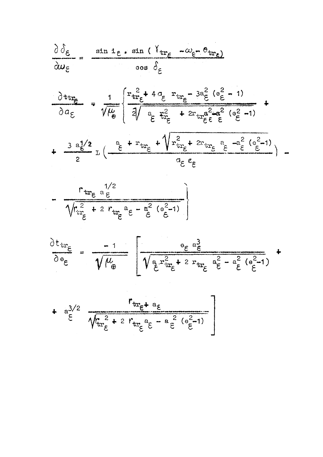$$
\frac{\partial \delta_{\varepsilon}}{\partial w_{\varepsilon}} = \frac{\sin t_{\varepsilon} \cdot \sin (\Upsilon_{tr_{\varepsilon}} - \omega_{\varepsilon} - \theta_{tr_{\varepsilon}})}{\cos \delta_{\varepsilon}}
$$

$$
\frac{\partial \text{tr}_{\mathbf{f}}}{\partial a_{\xi}} = \frac{1}{\sqrt{\mu_{\theta}}} \left\{ \frac{\mathbf{r}_{tr_{\xi}}^2 + 4a_{\xi}}{2\sqrt{\frac{a_{\xi}^2}{\xi}}} \frac{\mathbf{r}_{tr_{\xi}} - 3a_{\xi}^2 (e_{\xi}^2 - 1)}{\xi} + 2\mathbf{r}_{tr_{\xi}^2 \xi} \frac{a_{\xi}^2 a_{\xi}^2 (e_{\xi}^2 - 1)}{\xi} \right\}
$$

$$
+\frac{3 a_{\xi}^{1/2}}{2} L \left(\frac{a_{\xi} + r_{tr_{\xi}} + \sqrt{r_{tr_{\xi}}^2 + 2r_{tr_{\xi}}}}{a_{\xi} e_{\xi}} \frac{a_{\xi} - a_{\xi}^2 (e_{\xi}^2 - 1)}{a_{\xi} e_{\xi}}\right) -
$$

$$
-\frac{r_{tr_{\varepsilon}}^{2}e^{1/2}}{\sqrt{r_{tr_{\varepsilon}}^{2}+2r_{tr_{\varepsilon}}^{2}e^{-\frac{a^{2}}{\varepsilon}}(e_{\varepsilon}^{2}-1)}}
$$

$$
\frac{\partial t_{tr}}{\partial e_{\varepsilon}} = \frac{-1}{\sqrt{\mu_{\theta}}} \left[ \frac{e_{\varepsilon} a_{\varepsilon}^{3}}{\sqrt{a_{\varepsilon}^{2} r_{tr_{\varepsilon}}^{2} + 2 r_{tr_{\varepsilon}} a_{\varepsilon}^{2} - a_{\varepsilon}^{2} (e_{\varepsilon}^{2} - 1)}} + \right]
$$

$$
+\quad a_{\xi}^{3/2} \frac{r_{tr_{\xi}+a_{\xi}}}{\sqrt{r_{tr_{\xi}}^2 + 2 r_{tr_{\xi}} a_{\xi}^2 - a_{\xi}^2 (e_{\xi}^2 - 1)}}
$$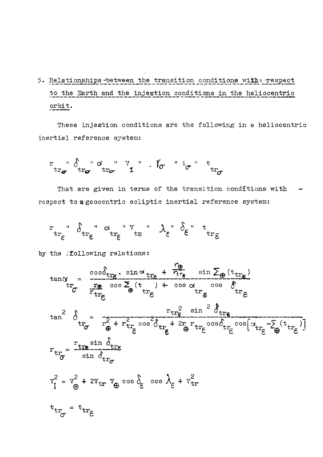5. Relationships between the transition conditions with: respect to the Earth and the injection conditions in the heliocentric  $orbit.$ 

These injection conditions are the following in a heliocentric inertial reference system:

That are given in terms of the transition conditions with respect to a geocentric ecliptic inertial reference system:

$$
\tiny\begin{array}{ccccc} r&\text{``}\delta_{tr_{\varepsilon}}\text{``}\alpha&\text{``}\nu_{tr}\text{``}\lambda_{\varepsilon}\text{``}\delta_{\varepsilon}\text{``}\text{``}\nu_{\varepsilon}\end{array}
$$

by the following relations: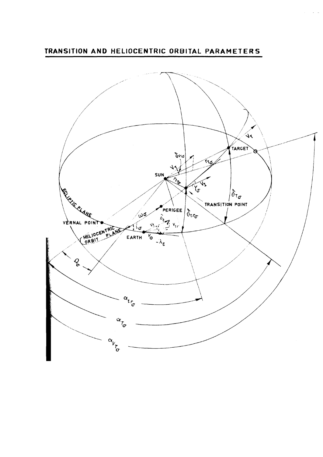**TRANSITION AND HELIOCENTRIC ORBITAL PARAMETERS** 

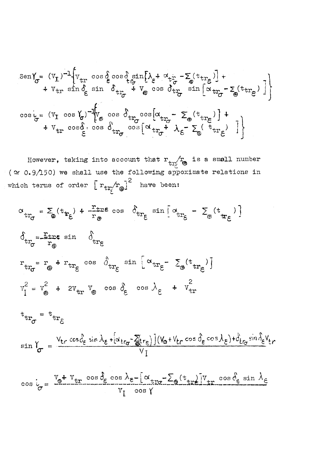$$
\begin{aligned}\n\text{Sen} & \gamma_{\sigma} = (v_{\mathbf{I}})^{-1} \left\{ v_{\mathbf{tr}} \cos \hat{\phi} \cos \hat{\phi} \sin \left[ \lambda_{\xi} + \alpha_{\mathbf{tr}} - \sum_{\phi} (t_{\mathbf{tr}}) \right] + \right. \\
& \left. + v_{\mathbf{tr}} \sin \hat{\phi} \sin \hat{\phi} \cos \hat{\phi} \cos \hat{\phi} \cos \hat{\phi} \cos \hat{\phi} \cos \hat{\phi} \cos \hat{\phi} \cos \hat{\phi} \cos \hat{\phi} \cos \hat{\phi} \cos \hat{\phi} \cos \hat{\phi} \cos \hat{\phi} \cos \hat{\phi} \cos \hat{\phi} \cos \hat{\phi} \cos \hat{\phi} \cos \hat{\phi} \cos \hat{\phi} \cos \hat{\phi} \cos \hat{\phi} \cos \hat{\phi} \cos \hat{\phi} \cos \hat{\phi} \cos \hat{\phi} \cos \hat{\phi} \cos \hat{\phi} \cos \hat{\phi} \cos \hat{\phi} \cos \hat{\phi} \cos \hat{\phi} \cos \hat{\phi} \cos \hat{\phi} \cos \hat{\phi} \cos \hat{\phi} \cos \hat{\phi} \cos \hat{\phi} \cos \hat{\phi} \cos \hat{\phi} \cos \hat{\phi} \cos \hat{\phi} \cos \hat{\phi} \cos \hat{\phi} \cos \hat{\phi} \cos \hat{\phi} \cos \hat{\phi} \cos \hat{\phi} \cos \hat{\phi} \cos \hat{\phi} \cos \hat{\phi} \cos \hat{\phi} \cos \hat{\phi} \cos \hat{\phi} \cos \hat{\phi} \cos \hat{\phi} \cos \hat{\phi} \cos \hat{\phi} \cos \hat{\phi} \cos \hat{\phi} \cos \hat{\phi} \cos \hat{\phi} \sin \hat{\phi} \sin \hat{\phi} \sin \hat{\phi} \sin \hat{\phi} \sin \hat{\phi} \cos \hat{\phi} \cos \hat{\phi} \sin \hat{\phi} \cos \hat{\phi} \sin \hat{\phi} \cos \hat{\phi} \cos \hat{\phi} \cos \hat{\phi} \cos \hat{\phi} \cos \hat{\phi} \cos \hat{\phi} \sin \hat{\phi} \cos \hat{\phi} \sin \hat{\phi} \cos \hat{\phi} \cos \hat{\phi} \cos \hat{\phi} \cos \hat{\phi} \cos \hat{\phi} \cos \hat{\phi} \cos \hat{\phi} \cos \hat{\phi} \cos \hat{\phi} \cos \hat{\phi} \sin \
$$

However, taking into account that  $r_{tr_{\tilde{C}}}$  is a small number ( $\approx 0.9/150$ ) we shall use the following appoximate relations in which terms of order  $\left[r_{tr_{\tilde{C}}} / r_{\theta}\right]^2$  have been:

$$
\sigma_{tr_{\sigma}} = \sum_{\Phi} (t_{tr_{\xi}}) + \frac{r_{tr\epsilon}}{r_{\Phi}} \cos \delta_{tr_{\xi}} \sin \left[ \alpha_{tr_{\xi}} - \sum_{\Phi} (t_{tr_{\xi}}) \right]
$$
  
\n
$$
\delta_{tr_{\sigma}} = \frac{r_{tr\epsilon}}{r_{\Phi}} \sin \delta_{tr_{\xi}}
$$
  
\n
$$
r_{tr_{\sigma}} = r_{\Phi} + r_{tr_{\xi}} \cos \delta_{tr_{\xi}} \sin \left[ \alpha_{tr_{\xi}} - \sum_{\Phi} (t_{tr_{\xi}}) \right]
$$
  
\n
$$
v_{I}^{2} = v_{\Phi}^{2} + 2v_{tr} v_{\Phi} \cos \delta_{\xi} \cos \lambda_{\xi} + v_{tr}^{2}
$$

$$
t_{tr_{\sigma}} = t_{tr_{\xi}}
$$
  

$$
\sin Y_{\sigma} = \frac{V_{tr} \cos \delta_{\xi} \sin \lambda_{\xi} + [\alpha_{tr_{\sigma}} - \sum_{\theta} tr_{\xi}] (V_{\theta} + V_{tr} \cos \delta_{\xi} \cos \lambda_{\xi}) + \delta_{tr_{\sigma}} \sin \delta_{\xi} V_{tr}}{V_{I}}
$$

$$
\cos i_{\sigma} = \frac{v_{\sigma} + v_{tr} \cos \theta_{\epsilon} \cos \lambda_{\epsilon} - [\alpha_{tr\sigma} - \Sigma_{\theta} (t_{tr\epsilon})]v_{tr} \cos \theta_{\epsilon} \sin \lambda_{\epsilon}}{v_{I} \cos \gamma}
$$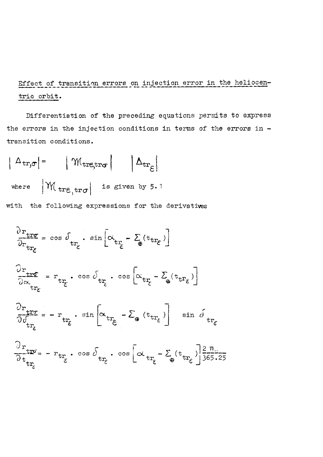# Effect of transition errors on injection error in the heliocentric orbit.

Differentiation of the preceding equations permits to express the errors in the injection conditions in terms of the errors in transition conditions.

$$
|\Delta_{\text{tr},\sigma}| = |\mathcal{M}_{\text{tr}\epsilon,\text{tr}\sigma}| |\Delta_{\text{tr}\epsilon}|
$$
  
where  $|\mathcal{M}_{\text{tr}\epsilon,\text{tr}\sigma}|$  is given by 5.1

with the following expressions for the derivatives

$$
\frac{\partial \mathbf{r}_{\text{tr}\epsilon}}{\partial \mathbf{r}_{\text{tr}\epsilon}} = \cos \theta_{\text{tr}_{\epsilon}} \cdot \sin \left[ \alpha_{\text{tr}_{\epsilon}} - \sum_{\theta} (\text{tr}_{\text{tr}_{\epsilon}}) \right]
$$
\n
$$
\frac{\partial \mathbf{r}_{\text{tr}\epsilon}}{\partial \alpha_{\text{tr}_{\epsilon}}} = \mathbf{r}_{\text{tr}_{\epsilon}} \cdot \cos \theta_{\text{tr}_{\epsilon}} \cdot \cos \left[ \alpha_{\text{tr}_{\epsilon}} - \sum_{\theta} (\text{tr}_{\text{tr}_{\epsilon}}) \right]
$$
\n
$$
\frac{\partial \mathbf{r}_{\text{tr}\epsilon}}{\partial \theta_{\text{tr}_{\epsilon}}} = - \mathbf{r}_{\text{tr}_{\epsilon}} \cdot \sin \left[ \alpha_{\text{tr}_{\epsilon}} - \sum_{\theta} (\text{tr}_{\text{tr}_{\epsilon}}) \right] \sin \theta_{\text{tr}_{\epsilon}}
$$
\n
$$
\frac{\partial \mathbf{r}_{\text{tr}\epsilon}}{\partial \mathbf{r}_{\text{tr}\epsilon}} = - \mathbf{r}_{\text{tr}_{\epsilon}} \cdot \cos \theta_{\text{tr}_{\epsilon}} \cdot \cos \left[ \alpha_{\text{tr}_{\epsilon}} - \sum_{\theta} (\text{tr}_{\text{tr}_{\epsilon}}) \right] \frac{2 \pi}{365.25}
$$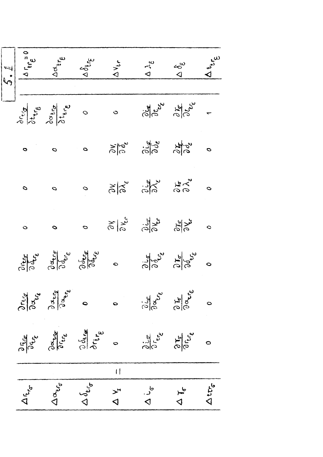|                                        |                                                                                                      |                                      |                                                                 | $\frac{\sqrt{2}}{\sqrt{2}}\int_{0}^{\frac{\pi}{2}} \frac{d\mu}{\mu} e^{i\mu} d\mu$                                                                                                                                                                                                                                                                                                                                                |                                                     |                          |
|----------------------------------------|------------------------------------------------------------------------------------------------------|--------------------------------------|-----------------------------------------------------------------|-----------------------------------------------------------------------------------------------------------------------------------------------------------------------------------------------------------------------------------------------------------------------------------------------------------------------------------------------------------------------------------------------------------------------------------|-----------------------------------------------------|--------------------------|
|                                        |                                                                                                      |                                      |                                                                 | $\frac{\partial}{\partial t} \oint_{\phi} \frac{1}{\phi} \oint_{\phi} \frac{1}{\phi} \oint_{\phi} \frac{1}{\phi}$ 0 0 $\frac{1}{\phi} \oint_{\phi} \frac{1}{\phi} \oint_{\phi} \frac{1}{\phi}$ -                                                                                                                                                                                                                                  |                                                     |                          |
| $\circ$ $\circ$                        |                                                                                                      |                                      |                                                                 | O Sto Jo de do                                                                                                                                                                                                                                                                                                                                                                                                                    |                                                     |                          |
| $\sigma$                               | $\tilde{q}$                                                                                          |                                      |                                                                 | 0 3/8 3/8 50 0                                                                                                                                                                                                                                                                                                                                                                                                                    |                                                     |                          |
| $\ddot{\circ}$                         | $\circ$                                                                                              |                                      |                                                                 | $\begin{array}{ccc}\n0 & 0 & 0 & 0 & 0 \\ 0 & 0 & 0 & 0 & 0 \\ 0 & 0 & 0 & 0 & 0\n\end{array}$                                                                                                                                                                                                                                                                                                                                    |                                                     |                          |
|                                        |                                                                                                      |                                      |                                                                 | $\begin{array}{ccccccc}\n\mathbf{y} & \mathbf{y} & \mathbf{y} & \mathbf{y} & \mathbf{y} & \mathbf{y} & \mathbf{y} & \mathbf{y} & \mathbf{y} & \mathbf{y} & \mathbf{y} & \mathbf{y} & \mathbf{y} & \mathbf{y} & \mathbf{y} & \mathbf{y} & \mathbf{y} & \mathbf{y} & \mathbf{y} & \mathbf{y} & \mathbf{y} & \mathbf{y} & \mathbf{y} & \mathbf{y} & \mathbf{y} & \mathbf{y} & \mathbf{y} & \mathbf{y} & \mathbf{y} & \mathbf{y} & \$ |                                                     |                          |
|                                        | $\frac{\partial \mathbf{r}_{tr_{\vec{\pmb{\epsilon}}}}}{\partial \mathbf{z}_{\vec{\pmb{\epsilon}}}}$ | $\bullet$                            | $\ddot{\mathbf{c}}$                                             | $\frac{\partial \dot{\zeta}_{\boldsymbol{\varepsilon}}}{\partial \boldsymbol{\alpha}}$                                                                                                                                                                                                                                                                                                                                            | $\frac{\partial \mathcal{L}}{\partial \mathcal{S}}$ | $\circ$                  |
| ج انج<br>انگاری<br>انگاری              | BLUE E                                                                                               | Objection                            | $\circ$                                                         | $\frac{\partial}{\partial \overline{\zeta}}\overline{\zeta}$                                                                                                                                                                                                                                                                                                                                                                      | $\frac{\partial \mathcal{F}}{\partial \mathcal{E}}$ | $\circ$                  |
|                                        |                                                                                                      |                                      | $\begin{array}{c} \hline \end{array}$                           |                                                                                                                                                                                                                                                                                                                                                                                                                                   |                                                     |                          |
| $\Delta_{f_{\mathbf{f}_{\mathbf{G}}}}$ | $\Delta \alpha_{t_{G}}$                                                                              | $\Delta\,\delta_{{\bf t}_{\rm (p)}}$ | $\begin{array}{c}\n\searrow\\ \searrow\\ \searrow\n\end{array}$ | $\Delta$ is                                                                                                                                                                                                                                                                                                                                                                                                                       | $\frac{1}{2}$                                       | $\Delta$ ttr $_{\sigma}$ |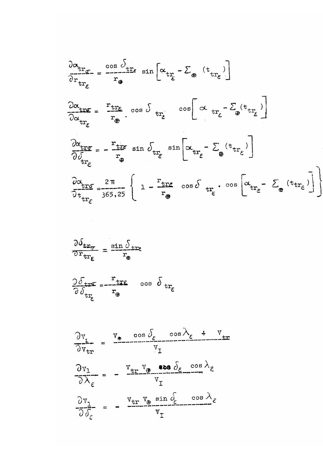$$
\frac{\partial \alpha_{tr}}{\partial r_{tr_{\epsilon}}} = \frac{\cos \delta_{tr_{\epsilon}}}{r_{\theta}} \sin \left[ \alpha_{tr_{\epsilon}} - \Sigma_{\theta} (t_{tr_{\epsilon}}) \right]
$$
\n
$$
\frac{\partial \alpha_{tr_{\epsilon}}}{\partial \alpha_{tr_{\epsilon}}} = \frac{r_{tr_{\epsilon}}}{r_{\theta}} \cos \delta_{tr_{\epsilon}} \cos \left[ \alpha_{tr_{\epsilon}} - \Sigma_{\theta} (t_{tr_{\epsilon}}) \right]
$$
\n
$$
\frac{\partial \alpha_{tr_{\epsilon}}}{\partial \alpha_{tr_{\epsilon}}} = -\frac{r_{tr_{\epsilon}}}{r_{\theta}} \sin \delta_{tr_{\epsilon}} \sin \left[ \alpha_{tr_{\epsilon}} - \Sigma_{\theta} (t_{tr_{\epsilon}}) \right]
$$
\n
$$
\frac{\partial \alpha_{tr_{\epsilon}}}{\partial \delta_{tr_{\epsilon}}} = -\frac{r_{tr_{\epsilon}}}{r_{\theta}} \sin \delta_{tr_{\epsilon}} \sin \left[ \alpha_{tr_{\epsilon}} - \Sigma_{\theta} (t_{tr_{\epsilon}}) \right]
$$
\n
$$
\frac{\partial \alpha_{tr_{\epsilon}}}{\partial t_{tr_{\epsilon}}} = \frac{2\pi}{365,25} \left\{ 1 - \frac{r_{tr_{\epsilon}}}{r_{\theta}} \cos \delta_{tr_{\epsilon}} \cdot \cos \left[ \alpha_{tr_{\epsilon}} - \Sigma_{\theta} (t_{tr_{\epsilon}}) \right] \right\}
$$

$$
\frac{\partial \delta_{\text{tr}_{\sigma}}}{\partial r_{\text{tr}_{\epsilon}}} = \frac{\sin \delta_{\text{tr}_{\epsilon}}}{r_{\text{e}}}
$$

 $\label{eq:2.1} \frac{1}{\sqrt{2\pi}}\int_{0}^{\infty}\frac{1}{\sqrt{2\pi}}\left(\frac{1}{\sqrt{2\pi}}\int_{0}^{\infty}\frac{1}{\sqrt{2\pi}}\left(\frac{1}{\sqrt{2\pi}}\int_{0}^{\infty}\frac{1}{\sqrt{2\pi}}\right)\frac{1}{\sqrt{2\pi}}\right)\frac{d\omega}{\omega}d\omega.$ 

$$
\frac{\partial \delta_{\text{tr}}}{\partial \delta_{\text{tr}_{\varepsilon}}} = -\frac{\mathbf{r}_{\text{tr}}}{\mathbf{r}_{\theta}} \quad \cos \delta_{\text{tr}_{\varepsilon}}
$$

$$
\frac{\partial v_{L}}{\partial v_{tr}} = \frac{v_{\phi} \cos \delta_{\epsilon} \cos \lambda_{\epsilon} + v_{tr}}{v_{I}}
$$

$$
\frac{\partial v_{1}}{\partial \lambda_{\epsilon}} = -\frac{v_{tr} v_{\phi} \cos \delta_{\epsilon} \cos \lambda_{\epsilon}}{v_{I}}
$$

$$
\frac{\partial v_{1}}{\partial \delta_{\epsilon}} = -\frac{v_{tr} v_{\phi} \sin \delta_{\epsilon} \cos \lambda_{\epsilon}}{v_{I}}
$$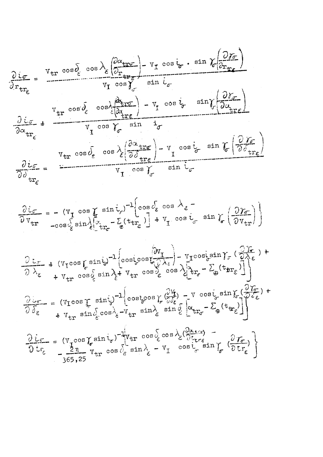$$
\frac{\partial i\sigma}{\partial r_{tr}} = \frac{v_{tr} \cos \lambda_{\epsilon} \left( \frac{\partial \lambda_{tr}}{\partial r_{tr}} \right) - v_{r} \cos \lambda_{\epsilon} \cdot \sin \lambda_{\epsilon} \frac{\partial \lambda_{tr}}{\partial r_{tr}} \right)}{v_{tr} \cos \lambda_{\epsilon} \left( \frac{\lambda_{tr}}{\partial \lambda_{tr}} \right) - v_{r} \cos \lambda_{\epsilon} \cdot \sin \lambda_{\epsilon} \frac{\partial \lambda_{tr}}{\partial r_{tr}} \right)}
$$
\n
$$
\frac{\partial i\sigma}{\partial \alpha_{tr}} = \frac{v_{tr} \cos \lambda_{\epsilon} \cos \lambda_{\epsilon} \sin \lambda_{\epsilon} \cdot \sin \lambda_{\epsilon}}{v_{tr} \cos \lambda_{\epsilon} \cdot \cos \lambda_{\epsilon} \cdot \sin \lambda_{\epsilon} \cdot \cos \lambda_{\epsilon}} = - (v_{r} \cos \lambda_{\epsilon} \sin \lambda_{\epsilon} \cdot \sin \lambda_{\epsilon} \cdot \cos \lambda_{\epsilon} \cdot \sin \lambda_{\epsilon} \cdot \cos \lambda_{\epsilon})
$$
\n
$$
\frac{\partial i\sigma}{\partial v_{tr}} = - (v_{r} \cos \lambda_{\epsilon} \sin \lambda_{\epsilon})^{-1} \left[ \cos \lambda_{\epsilon} \cos \lambda_{\epsilon} \cdot \sin \lambda_{\epsilon} \cdot \frac{\partial \lambda_{tr}}{\partial r_{tr}} \right]
$$
\n
$$
\frac{\partial i\sigma}{\partial v_{tr}} = - (v_{r} \cos \lambda_{\epsilon} \sin \lambda_{\epsilon})^{-1} \left[ \cos \lambda_{\epsilon} \cos \lambda_{\epsilon} \cdot \sin \lambda_{\epsilon} \cdot \frac{\partial \lambda_{tr}}{\partial r_{tr}} \right]
$$
\n
$$
\frac{\partial i\sigma}{\partial \lambda_{\epsilon}} + (v_{r} \cos \lambda_{\epsilon} \sin \lambda_{\epsilon} \cdot \frac{\partial \lambda_{tr}}{\partial r_{tr}}) - \left[ \cos \lambda_{\epsilon} \cos \lambda_{\epsilon} \cdot \frac{\partial \lambda_{tr}}{\partial r_{tr}} \right] - v_{r} \cos \lambda_{\epsilon} \sin \lambda_{\epsilon} \cdot \frac{\partial \lambda_{\epsilon}}{\partial r_{tr}} \right]
$$
\n
$$
\frac{\partial i\sigma}{\partial \lambda_{\epsilon}} = (v_{r} \cos \lambda_{\epsilon} \sin \lambda_{\epsilon})^{-1} \left[ \cos \lambda_{\epsilon} \cos \lambda_{\epsilon} \cdot \frac{\partial \lambda_{tr}}{\partial r
$$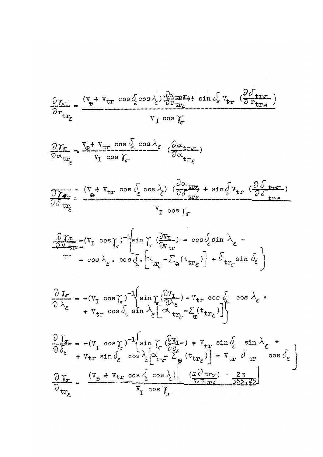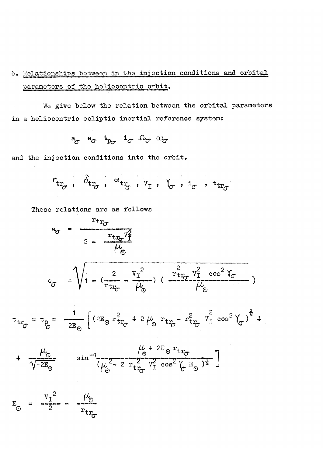## 6. Relationships between in the injection conditions and orbital parameters of the heliocentric orbit.

We give below the relation between the orbital parameters in a heliocentric ecliptic inertial reference system:

 $a^a$   $e^a$   $r^b$   $r^a$   $r^a$   $r^b$   $r^c$   $r^a$ 

and the injection conditions into the orbit.

$$
r_{\text{tr}_{\sigma}} \text{ , } \delta_{\text{tr}_{\sigma}} \text{ , } \circ \text{tr}_{\sigma} \text{ , } v_{\text{I}} \text{ , } V_{\sigma} \text{ , } i_{\sigma} \text{ , } i_{\text{tr}_{\sigma}}
$$

These relations are as follows

 $\hat{\mathcal{A}}$ 

 $r_{tr}$  $a_{\sigma}$  =  $\epsilon = \frac{r_{\text{tr}} v_{\text{f}}^2}{\mu_{\text{o}}}$ 

$$
e_{\sigma} = \sqrt{1 - (\frac{2}{\text{rtr}_{\sigma}} - \frac{v_{\text{T}}^2}{\mu_{\odot}})} (\frac{2}{\mu_{\odot}} \frac{v_{\text{T}}^2 \cos^2 \gamma_{\sigma}}{\mu_{\odot}})
$$

$$
t_{tr_{\sigma}} = t_{\rho} = \frac{1}{2E_{\sigma}} \left[ (2E_{\sigma} r_{tr_{\sigma}}^2 + 2\mu_{\sigma} r_{tr_{\sigma}} - r_{tr_{\sigma}}^2 v_{I}^2 \cos^2 \gamma_{\sigma})^{\frac{1}{2}} + \right]
$$

$$
+\frac{\mu_{\rm c}}{\sqrt{-2E_{\rm O}}}\qquad \sin^{-1}\left(\mu_{\rm C}^{2} - 2 r_{\rm tr_{\rm C}}^{2} \frac{V_{\rm s}^{2} + 2E_{\rm O} r_{\rm tr_{\rm C}}}{V_{\rm T}^{2} \cos^{2}\left(\sigma E_{\rm O}\right)^{\frac{1}{2}}}\right)
$$

$$
E_{\odot} = \frac{v_{\rm T}^2}{2} - \frac{\mu_{\odot}}{r_{\rm tr}_{\sigma}}
$$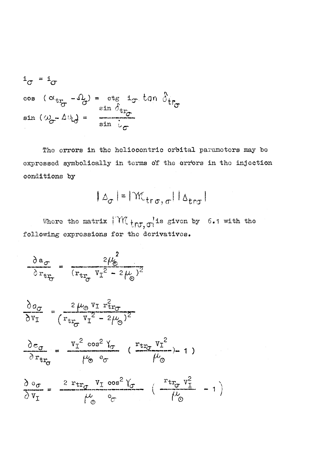$$
i_{\sigma} = i_{\sigma}
$$
  
cos  $(\alpha_{tr_{\sigma}} - \Omega_{\sigma}) = \text{ctg } i_{\sigma} \tan \delta_{tr_{\sigma}}$   
sin  $(\omega_{\sigma} - \Delta \theta_{\sigma}) = \frac{\sin \delta_{tr_{\sigma}}}{\sin \delta_{\sigma}}$ 

The errors in the heliocentric orbital parameters may be expressed symbolically in terms o'f the orr'ors in the injection conditions by

$$
|\Delta_{\sigma}| = |\mathcal{M}_{\text{tr}\,\sigma,\,\sigma}| |\Delta_{\text{tr}\sigma}|
$$

Where the matrix  $\int_{0}^{1}W_{t}^{2}$   $\int_{0}^{\pi}$  is given by 6.1 with the following expressions for the derivatives.

$$
\frac{\partial a_{\sigma}}{\partial r_{tr_{\sigma}}} = \frac{2\mu_{\sigma}^2}{(r_{tr_{\sigma}} v_{I}^2 - 2\mu_{\sigma})^2}
$$

$$
\frac{\partial a_{\sigma}}{\partial v_{I}} = \frac{2 \mu_{\sigma} v_{I} r_{tr_{\sigma}}^{2}}{(r_{tr_{\sigma}} v_{I}^{2} - 2 \mu_{\sigma})^{2}}
$$

$$
\frac{\partial e_{\sigma}}{\partial r_{tr_{\sigma}}} = \frac{v_{I}^{2} \cos^{2} Y_{\sigma}}{\mu_{\odot} e_{\sigma}} \left( \frac{r_{tr_{\sigma}} V_{I}^{2}}{\mu_{\odot}} \right) - 1 \right)
$$

$$
\frac{\partial \circ \sigma}{\partial v_{I}} = \frac{2 \operatorname{r}_{tr} \sigma v_{I} \cos^{2} V_{\sigma}}{\mu_{\odot}^{2} v_{\sigma}} \left( \frac{\operatorname{r}_{tr} v_{I}^{2}}{\mu_{\odot}} - 1 \right)
$$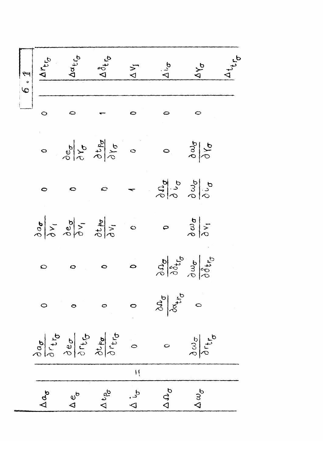| 6.1 |                     | Artis<br>Adtra                                                                                                                                                                                                          | 128                      | $\Delta V_{I}$   | $\Delta v_{\sigma}$                                              | <b>AY</b>                                         |  |
|-----|---------------------|-------------------------------------------------------------------------------------------------------------------------------------------------------------------------------------------------------------------------|--------------------------|------------------|------------------------------------------------------------------|---------------------------------------------------|--|
|     |                     |                                                                                                                                                                                                                         |                          |                  |                                                                  |                                                   |  |
|     | $\ddot{\circ}$      | $\frac{\partial}{\partial\phi}\frac{\partial}{\partial\phi}\frac{\partial}{\partial\phi}\frac{\partial}{\partial\phi}\frac{\partial}{\partial\phi}$                                                                     |                          |                  |                                                                  | $\frac{\partial \omega}{\partial \gamma}$         |  |
|     | $\bullet$           |                                                                                                                                                                                                                         |                          |                  | $\frac{6}{3}$<br>$\frac{6}{3}$<br>$\frac{3}{3}$<br>$\frac{6}{5}$ |                                                   |  |
|     |                     | $\frac{\partial}{\partial \phi} \frac{\partial}{\partial \phi} \frac{\partial}{\partial \phi} \frac{\partial}{\partial \phi}$                                                                                           |                          |                  |                                                                  | $rac{\partial w}{\partial y_1}$                   |  |
|     | $\circ$             | O                                                                                                                                                                                                                       | ⇔                        |                  |                                                                  | adotto<br>adotto                                  |  |
|     |                     | $\circ$                                                                                                                                                                                                                 | $\circ$                  | $\circ$          | $\frac{\partial a_{\sigma}}{\partial \alpha_{\sigma}}$           |                                                   |  |
|     |                     | $\frac{\partial}{\partial\sigma}\frac{\partial}{\partial\tau}\frac{\partial}{\partial\sigma}\frac{\partial}{\partial\tau}\frac{\partial}{\partial\sigma}\frac{\partial}{\partial\sigma}\frac{\partial}{\partial\sigma}$ |                          | $\circ$          | $\ddot{\circ}$                                                   | $\frac{\partial v_{\sigma}}{\partial r_{\sigma}}$ |  |
|     |                     |                                                                                                                                                                                                                         |                          | $\mathcal{H}$    |                                                                  |                                                   |  |
|     | $\Delta a_{\sigma}$ | $\frac{e^{6}}{4}$                                                                                                                                                                                                       | $\Delta t_{\beta\sigma}$ | $\sum_{i=1}^{n}$ | $\Delta\Omega_{\sigma}$                                          | $\Delta \omega_{\sigma}$                          |  |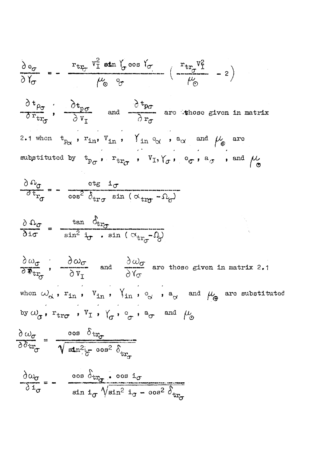$$
\frac{\partial e_{\sigma}}{\partial Y_{\sigma}} = -\frac{r_{tr_{\sigma}} V_{\perp}^2 \sin Y_{\sigma} \cos Y_{\sigma}}{\mu_{\odot}^2 \cos Y_{\sigma}} \left( \frac{r_{tr_{\sigma}} V_{\perp}^2}{\mu_{\odot}^2} - 2 \right)
$$

$$
\frac{\partial t_{\rho_{\sigma}}}{\partial r_{tr_{\sigma}}}, \frac{\partial t_{p_{\sigma}}}{\partial v_{I}} \text{ and } \frac{\partial t_{p_{\sigma}}}{\partial r_{\sigma}} \text{ are those given in matrix}
$$
\n
$$
\frac{\partial t_{p_{\sigma}}}{\partial r_{\sigma}}, r_{in}, v_{in}, \frac{\partial t_{p_{\sigma}}}{\partial r_{\sigma}}, a_{\alpha} \text{ and } \mu_{\phi} \text{ are}
$$
\nsubstituted by  $t_{p_{\sigma}}, r_{tr_{\sigma}}, v_{I}, \gamma_{\sigma}, e_{\sigma}, a_{\sigma}$ , and  $\mu_{\sigma}$ 

$$
\frac{\partial \Omega_{\sigma}}{\partial t_{r_{\sigma}}} = - \frac{\text{ctg} i_{\sigma}}{\text{cos}^2 \delta_{\text{tr}_{\sigma}} \sin (\alpha_{\text{tr}_{\sigma}} - \Omega_{\sigma})}
$$

$$
\frac{\partial \Omega_{\sigma}}{\partial i \sigma} = \frac{\tan \theta_{tr_{\sigma}}}{\sin^2 i_{\sigma} \cdot \sin (\alpha_{tr_{\sigma}} - \Omega)}
$$

 $\frac{\partial \omega_{\sigma}}{\partial \Phi_{tr_{\sigma}}}$ ,  $\frac{\partial \omega_{\sigma}}{\partial V_{T}}$  and  $\frac{\partial \omega_{\sigma}}{\partial V_{\sigma}}$  are those given in matrix 2.1 when  $\omega_{\alpha}$ ,  $r_{in}$ ,  $V_{in}$ ,  $\gamma_{in}$ ,  $\gamma_{in}$ ,  $e_{\alpha}$ ,  $a_{\alpha}$  and  $\mu_{\oplus}$  are substituted by  $\omega_{\sigma}$ ,  $r_{\text{tr}\sigma}$ ,  $v_{\text{I}}$ ,  $\gamma_{\sigma}$ ,  $\circ_{\sigma}$ ,  $a_{\sigma}$  and  $\mu_{\odot}$ 

$$
\frac{\partial \omega_{\sigma}}{\partial \delta_{tr_{\sigma}}} = \frac{\cos \delta_{tr_{\sigma}}}{\sqrt{\sin^2(\sigma - \cos^2 \delta_{tr_{\sigma}})}}
$$

$$
\frac{\partial \omega_{\sigma}}{\partial \mathbf{1}_{\sigma}} = - \frac{\cos \delta_{\text{tr}_{\sigma}} \cdot \cos \mathbf{1}_{\sigma}}{\sin \mathbf{1}_{\sigma} \sqrt{\sin^2 \mathbf{1}_{\sigma} - \cos^2 \delta_{\text{tr}_{\sigma}}}}
$$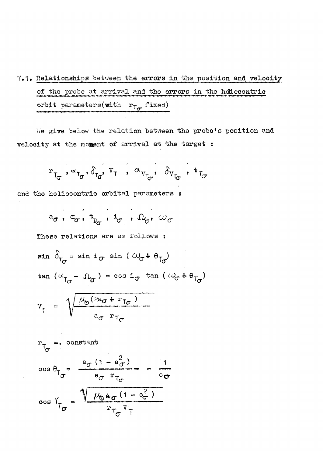$7.1.$  Relationships between the errors in the position and velooity of the probe at arrival and the errors in the heliocentrio orbit parameters(with  $r_{\uparrow\sigma}$  fixed)

We give below the relation between the probe's position and velooity at the moment of arrival at the target :

$$
r_{T_{\sigma}}, \alpha_{T_{\sigma}}, \delta_{T_{\sigma}}, v_{T}, \alpha_{v_{T_{\sigma}}}, \delta_{v_{T_{\sigma}}}, t_{T_{\sigma}}
$$

and the heliocentric orbital parameters :

 $a_{\sigma}$ ,  $c_{\sigma}$ ,  $t_{p_{\sigma}}$ ,  $t_{\sigma}$ ,  $\Omega_{\sigma}$ ,  $\omega_{\sigma}$ 

These relations are as follows :

$$
\sin \theta_{T_{\sigma}} = \sin i_{\sigma} \sin (\omega_{\sigma} + \theta_{T_{\sigma}})
$$
  

$$
\tan (\omega_{T_{\sigma}} - \Omega_{\sigma}) = \cos i_{\sigma} \tan (\omega_{\sigma} + \theta_{T_{\sigma}})
$$

$$
V_{T} = \sqrt{\frac{\mu_0 (2a_{\sigma} + r_{T_{\sigma}})}{a_{\sigma} r_{T_{\sigma}}}}
$$

$$
r_{\tau_{\sigma}} = \text{constant}
$$
  
\n
$$
\cos \theta_{\tau_{\sigma}} = \frac{a_{\sigma} (1 - \theta_{\sigma}^{2})}{\theta_{\sigma} r_{\tau_{\sigma}}} = \frac{1}{\theta_{\sigma}}
$$
  
\n
$$
\cos \gamma_{\tau_{\sigma}} = \sqrt{\frac{\mu_{\sigma} a_{\sigma} (1 - \theta_{\sigma}^{2})}{r_{\tau_{\sigma}} r_{\tau}}}
$$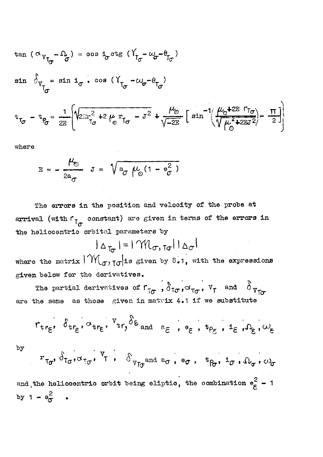$$
\tan (\alpha_{V_{T_{\sigma}}}-\Omega_{\sigma}) = \cos \frac{1}{2} \cot \frac{\pi}{2} \left( \frac{V_{T_{\sigma}}-\omega_{\sigma}-\theta_{T_{\sigma}}}{V_{\sigma}} \right)
$$
\n
$$
\sin \frac{1}{2} \int_{V_{T_{\sigma}}}-\sin \frac{1}{2} \cos (\frac{V_{T_{\sigma}}-\omega_{\sigma}-\theta_{T_{\sigma}}}{V_{\sigma}}) \frac{\mu_{\sigma}}{\sqrt{-2E}} \left[ \sin^{-1} \left( \frac{\mu_{\sigma}+2E \Gamma_{T_{\sigma}}}{\sqrt{\mu_{\sigma}^2+2E \Gamma^2}} \right) - \frac{\pi}{2} \right]
$$

where

$$
E = -\frac{\mu_{\odot}}{2a_{\sigma}} J = \sqrt{a_{\sigma} \mu_{\odot} (1 - \theta_{\sigma}^2)}
$$

The errors in the position and velocity of the probe at arrival (with  $r_{\uparrow_{\sigma}}$  constant) are given in terms of the errors in the heliocentric orbital parameters by

 $|\Delta_{\tau_{\sigma}}| = |\gamma \mathcal{M}_{\sigma, \tau_{\sigma}}| |\Delta_{\sigma}|$ 

where the matrix  $\lvert \gamma \gamma \rvert_{\sigma, \tau \sigma}$  is given by 8.1, with the expressions given below for the derivatives.

The partial derivatives of  $r_{\tau\sigma}$ ,  $\delta_{\tau\sigma}$ ,  $\sigma_{\tau\sigma}$ ,  $v_{\tau}$  and  $\delta_{v_{\tau\sigma}}$ are the same as those given in matrix 4.1 if we substitute

$$
r_{tr_{\varepsilon}}, \delta_{tr_{\varepsilon}}, \sigma_{tr_{\varepsilon}}, r_{tr}, \delta_{\varepsilon} \text{ and } \delta_{\varepsilon}, \delta_{\varepsilon}, \delta_{\varepsilon}, \delta_{\varepsilon}, \delta_{\varepsilon}, \sigma_{\varepsilon}
$$

 $by$ 

by  
\n
$$
r_{\tau_{\sigma}}
$$
,  $\delta_{\tau_{\sigma}}, \alpha_{\tau_{\sigma}}$ ,  $\tau_{\tau}$ ,  $\delta_{v_{\tau_{\sigma}}}$  and  $a_{\sigma}$ ,  $e_{\sigma}$ ,  $t_{\beta}$ ,  $i_{\sigma}$ ,  $\Omega_{\sigma}$ ,  $\omega_{\sigma}$   
\nand the heliocentrio orbit being eliptic, the combination  $e_{\epsilon}^{2} - 1$   
\nby  $1 - e_{\sigma}^{2}$ .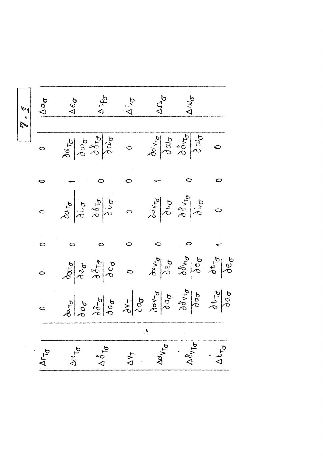|                |                             | $\sqrt{\frac{1}{2} \cdot \frac{1}{4}}$ |                   | And           | $\Delta \omega_{\sigma}$                                                                                                                                                                                                                                                                                                                                                                                                                                                                                                                                                                                       |               |
|----------------|-----------------------------|----------------------------------------|-------------------|---------------|----------------------------------------------------------------------------------------------------------------------------------------------------------------------------------------------------------------------------------------------------------------------------------------------------------------------------------------------------------------------------------------------------------------------------------------------------------------------------------------------------------------------------------------------------------------------------------------------------------------|---------------|
| $\ddot{\circ}$ |                             |                                        |                   |               | 2010/09/09 09/09/09/09/09/09                                                                                                                                                                                                                                                                                                                                                                                                                                                                                                                                                                                   |               |
| $\bullet$      |                             |                                        |                   |               |                                                                                                                                                                                                                                                                                                                                                                                                                                                                                                                                                                                                                |               |
| $\ddot{\circ}$ |                             |                                        |                   |               | $\frac{3}{4}$<br>$\frac{3}{4}$<br>$\frac{3}{4}$<br>$\frac{3}{4}$<br>$\frac{3}{4}$<br>$\frac{3}{4}$<br>$\frac{3}{4}$<br>$\frac{3}{4}$<br>$\frac{3}{4}$<br>$\frac{3}{4}$<br>$\frac{3}{4}$<br>$\frac{3}{4}$<br>$\frac{3}{4}$<br>$\frac{3}{4}$<br>$\frac{3}{4}$<br>$\frac{3}{4}$<br>$\frac{3}{4}$<br>$\frac{3}{4}$                                                                                                                                                                                                                                                                                                 |               |
| $\circ$        | $\circ$                     |                                        |                   |               |                                                                                                                                                                                                                                                                                                                                                                                                                                                                                                                                                                                                                |               |
| $\ddot{\circ}$ |                             |                                        |                   |               | $\frac{\partial}{\partial\rho}\left \begin{matrix} \frac{\partial}{\partial\rho}&\frac{\partial}{\partial\rho}\\ \frac{\partial}{\partial\rho}&\frac{\partial}{\partial\rho}\end{matrix}\right _{\mathcal{B}}\quad\text{or}\quad\frac{\partial}{\partial\rho}\left \begin{matrix} \frac{\partial}{\partial\rho}&\frac{\partial}{\partial\rho}\\ \frac{\partial}{\partial\rho}&\frac{\partial}{\partial\rho}\end{matrix}\right \left \begin{matrix} \frac{\partial}{\partial\rho}&\frac{\partial}{\partial\rho}\\ \frac{\partial}{\partial\rho}&\frac{\partial}{\partial\rho}\end{matrix}\right _{\mathcal{B}}$ |               |
| $\circ$        |                             |                                        |                   |               | $\frac{\partial}{\partial \theta} \frac{\partial}{\partial \theta} \frac{\partial}{\partial \theta} \frac{\partial}{\partial \theta} \frac{\partial}{\partial \theta} \frac{\partial}{\partial \theta} \frac{\partial}{\partial \theta} \frac{\partial}{\partial \theta} \frac{\partial}{\partial \theta} \frac{\partial}{\partial \theta} \frac{\partial}{\partial \theta} \frac{\partial}{\partial \theta} \frac{\partial}{\partial \theta}$                                                                                                                                                                 |               |
|                |                             |                                        | $\mathbb{C}^{\P}$ |               |                                                                                                                                                                                                                                                                                                                                                                                                                                                                                                                                                                                                                |               |
| Arta           | $\Delta \propto T_{\sigma}$ | $\Delta \delta_{\mathsf{T}\sigma}$     | $\Delta V_T$      | <b>Advice</b> | $\Delta \delta_{V_{\overline{1}\sigma}}\Bigg $                                                                                                                                                                                                                                                                                                                                                                                                                                                                                                                                                                 | $\Delta t$ To |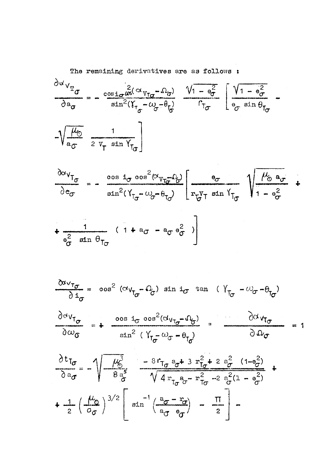The remaining derivatives are as follows :

$$
\frac{\partial \omega_{V_{T_{\sigma}}}}{\partial a_{\sigma}} = -\frac{\cos i_{\sigma} \omega^{2} (\omega_{V_{T_{\sigma}}}-\Omega_{\sigma})}{\sin^{2}(V_{T_{\sigma}}-\omega_{\sigma}-\theta_{T})} \frac{V_{1}-\theta_{\sigma}^{2}}{r_{T_{\sigma}}}\left[\frac{V_{1}-\theta_{\sigma}^{2}}{\theta_{\sigma} \sin \theta_{T_{\sigma}}}\right]
$$

$$
\frac{\partial \alpha v_{T_{\sigma}}}{\partial e_{\sigma}} = -\frac{\cos i_{\sigma} \cos^{2}(\alpha_{v_{T_{\sigma}}}, \alpha_{\sigma})}{\sin^{2}(\gamma_{T_{\sigma}} - \omega_{\sigma} - \theta_{T_{\sigma}})} \left[ \frac{\theta_{\sigma}}{r_{\sigma}^{V_{T}} \sin \gamma_{T_{\sigma}}} \right] \frac{\mu_{\sigma}}{1 - \theta_{\sigma}^{2}} + \frac{1}{\theta_{\sigma}^{2} \sin \theta_{T_{\sigma}}} \left( 1 + a_{\sigma} - a_{\sigma} e_{\sigma}^{2} \right)
$$

 $\sim 0.1$ 

$$
\frac{\partial a_{v_{\tau_{\sigma}}}}{\partial \,i_{\sigma}} = \cos^2 \, (\alpha_{v_{\tau_{\sigma}}}-\Omega_{\sigma}) \sin i_{\sigma} \tan \, (\gamma_{\tau_{\sigma}}-\omega_{\sigma}-\theta_{\tau_{\sigma}})
$$

$$
\frac{\partial^{\alpha}V_{T_{\sigma}}}{\partial \omega_{\sigma}} = + \frac{\cos i_{\sigma} \cos^{2}(\alpha_{V_{T_{\sigma}}}-\Omega_{\sigma})}{\sin^{2}(\gamma_{T_{\sigma}}-\omega_{\sigma}-\theta_{T_{\sigma}})} \quad \frac{\partial \alpha_{V_{T_{\sigma}}}}{\partial \Omega_{\sigma}} = 1
$$

$$
\frac{\partial t_{\text{To}}}{\partial a_{\sigma}} = -\sqrt{\frac{\mu_0^3}{8a_{\sigma}^5}} = -\frac{8r_{\text{To}}a_{\sigma} + 3r_{\text{To}}^2 + 2a_{\sigma}^2 (1 - \theta_{\sigma}^2)}{\sqrt{4r_{\text{To}}a_{\sigma} - r_{\text{To}}^2 - 2a_{\sigma}^2 (1 - \theta_{\sigma}^2)}}
$$
  
+ 
$$
\frac{1}{2} \left(\frac{\mu_0}{\sigma_0}\right)^{3/2} \left[\sin^{-1}\left(\frac{a_{\sigma} - r_{\sigma}}{a_{\sigma} - \theta_{\sigma}}\right) - \frac{\pi}{2}\right] -
$$